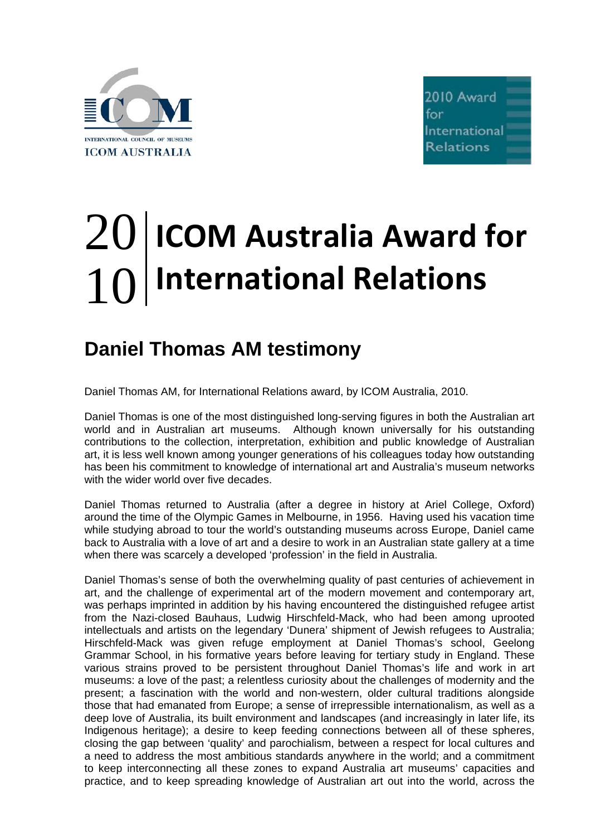



## 20 10 **ICOM Australia Award for International Relations**

## **Daniel Thomas AM testimony**

Daniel Thomas AM, for International Relations award, by ICOM Australia, 2010.

Daniel Thomas is one of the most distinguished long-serving figures in both the Australian art world and in Australian art museums. Although known universally for his outstanding contributions to the collection, interpretation, exhibition and public knowledge of Australian art, it is less well known among younger generations of his colleagues today how outstanding has been his commitment to knowledge of international art and Australia's museum networks with the wider world over five decades.

Daniel Thomas returned to Australia (after a degree in history at Ariel College, Oxford) around the time of the Olympic Games in Melbourne, in 1956. Having used his vacation time while studying abroad to tour the world's outstanding museums across Europe, Daniel came back to Australia with a love of art and a desire to work in an Australian state gallery at a time when there was scarcely a developed 'profession' in the field in Australia.

Daniel Thomas's sense of both the overwhelming quality of past centuries of achievement in art, and the challenge of experimental art of the modern movement and contemporary art, was perhaps imprinted in addition by his having encountered the distinguished refugee artist from the Nazi-closed Bauhaus, Ludwig Hirschfeld-Mack, who had been among uprooted intellectuals and artists on the legendary 'Dunera' shipment of Jewish refugees to Australia; Hirschfeld-Mack was given refuge employment at Daniel Thomas's school, Geelong Grammar School, in his formative years before leaving for tertiary study in England. These various strains proved to be persistent throughout Daniel Thomas's life and work in art museums: a love of the past; a relentless curiosity about the challenges of modernity and the present; a fascination with the world and non-western, older cultural traditions alongside those that had emanated from Europe; a sense of irrepressible internationalism, as well as a deep love of Australia, its built environment and landscapes (and increasingly in later life, its Indigenous heritage); a desire to keep feeding connections between all of these spheres, closing the gap between 'quality' and parochialism, between a respect for local cultures and a need to address the most ambitious standards anywhere in the world; and a commitment to keep interconnecting all these zones to expand Australia art museums' capacities and practice, and to keep spreading knowledge of Australian art out into the world, across the